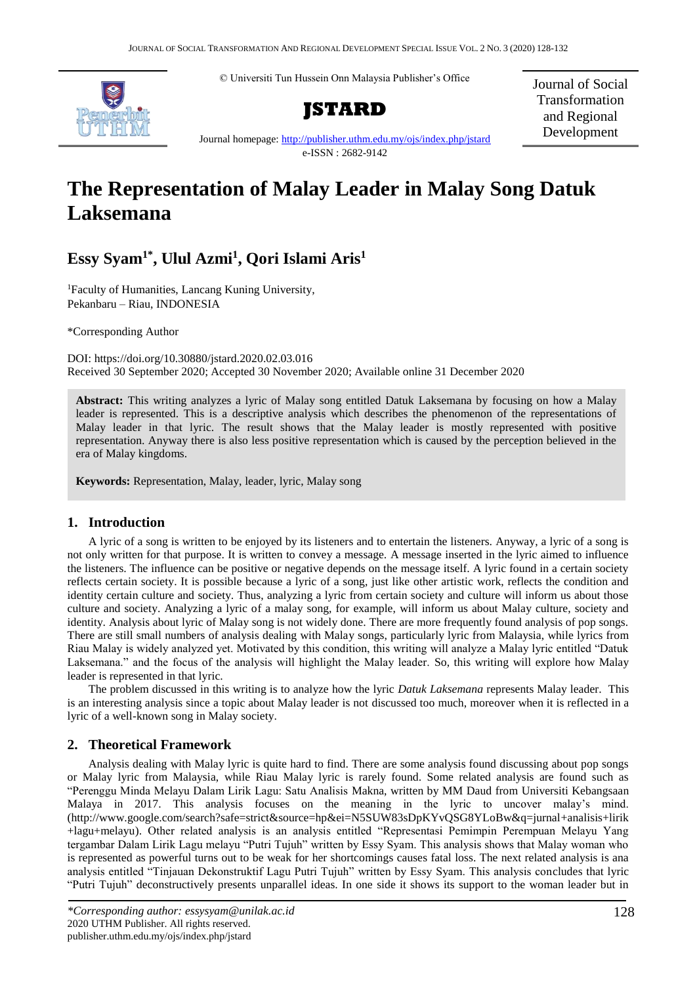© Universiti Tun Hussein Onn Malaysia Publisher's Office



**JSTARD**

Journal of Social Transformation and Regional Development

Journal homepage:<http://publisher.uthm.edu.my/ojs/index.php/jstard> e-ISSN : 2682-9142

# **The Representation of Malay Leader in Malay Song Datuk Laksemana**

# **Essy Syam1\* , Ulul Azmi<sup>1</sup> , Qori Islami Aris<sup>1</sup>**

<sup>1</sup>Faculty of Humanities, Lancang Kuning University, Pekanbaru – Riau, INDONESIA

\*Corresponding Author

DOI: https://doi.org/10.30880/jstard.2020.02.03.016 Received 30 September 2020; Accepted 30 November 2020; Available online 31 December 2020

**Abstract:** This writing analyzes a lyric of Malay song entitled Datuk Laksemana by focusing on how a Malay leader is represented. This is a descriptive analysis which describes the phenomenon of the representations of Malay leader in that lyric. The result shows that the Malay leader is mostly represented with positive representation. Anyway there is also less positive representation which is caused by the perception believed in the era of Malay kingdoms.

**Keywords:** Representation, Malay, leader, lyric, Malay song

# **1. Introduction**

A lyric of a song is written to be enjoyed by its listeners and to entertain the listeners. Anyway, a lyric of a song is not only written for that purpose. It is written to convey a message. A message inserted in the lyric aimed to influence the listeners. The influence can be positive or negative depends on the message itself. A lyric found in a certain society reflects certain society. It is possible because a lyric of a song, just like other artistic work, reflects the condition and identity certain culture and society. Thus, analyzing a lyric from certain society and culture will inform us about those culture and society. Analyzing a lyric of a malay song, for example, will inform us about Malay culture, society and identity. Analysis about lyric of Malay song is not widely done. There are more frequently found analysis of pop songs. There are still small numbers of analysis dealing with Malay songs, particularly lyric from Malaysia, while lyrics from Riau Malay is widely analyzed yet. Motivated by this condition, this writing will analyze a Malay lyric entitled "Datuk Laksemana." and the focus of the analysis will highlight the Malay leader. So, this writing will explore how Malay leader is represented in that lyric.

The problem discussed in this writing is to analyze how the lyric *Datuk Laksemana* represents Malay leader. This is an interesting analysis since a topic about Malay leader is not discussed too much, moreover when it is reflected in a lyric of a well-known song in Malay society.

# **2. Theoretical Framework**

Analysis dealing with Malay lyric is quite hard to find. There are some analysis found discussing about pop songs or Malay lyric from Malaysia, while Riau Malay lyric is rarely found. Some related analysis are found such as "Perenggu Minda Melayu Dalam Lirik Lagu: Satu Analisis Makna, written by MM Daud from Universiti Kebangsaan Malaya in 2017. This analysis focuses on the meaning in the lyric to uncover malay's mind. [\(http://www.google.com/search?safe=strict&source=hp&ei=N5SUW83sDpKYvQSG8YLoBw&q=jurnal+analisis+lirik](http://www.google.com/search?safe=strict&source=hp&ei=N5SUW83sDpKYvQSG8YLoBw&q=jurnal+analisis+lirik+lagu+melayu) [+lagu+melayu\)](http://www.google.com/search?safe=strict&source=hp&ei=N5SUW83sDpKYvQSG8YLoBw&q=jurnal+analisis+lirik+lagu+melayu). Other related analysis is an analysis entitled "Representasi Pemimpin Perempuan Melayu Yang tergambar Dalam Lirik Lagu melayu "Putri Tujuh" written by Essy Syam. This analysis shows that Malay woman who is represented as powerful turns out to be weak for her shortcomings causes fatal loss. The next related analysis is ana analysis entitled "Tinjauan Dekonstruktif Lagu Putri Tujuh" written by Essy Syam. This analysis concludes that lyric "Putri Tujuh" deconstructively presents unparallel ideas. In one side it shows its support to the woman leader but in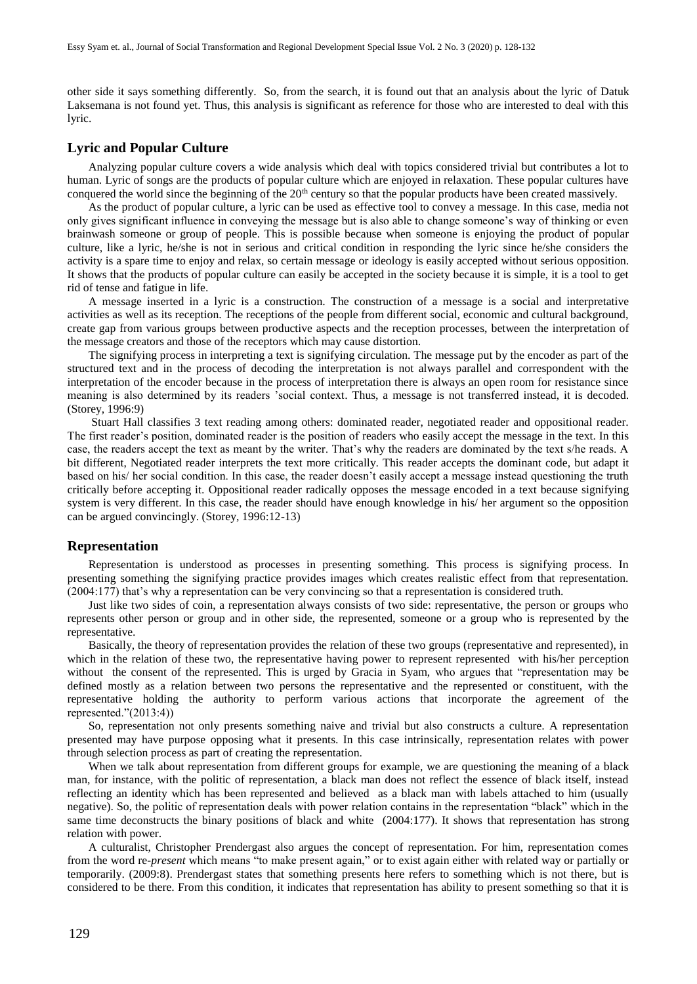other side it says something differently. So, from the search, it is found out that an analysis about the lyric of Datuk Laksemana is not found yet. Thus, this analysis is significant as reference for those who are interested to deal with this lyric.

## **Lyric and Popular Culture**

Analyzing popular culture covers a wide analysis which deal with topics considered trivial but contributes a lot to human. Lyric of songs are the products of popular culture which are enjoyed in relaxation. These popular cultures have conquered the world since the beginning of the 20<sup>th</sup> century so that the popular products have been created massively.

As the product of popular culture, a lyric can be used as effective tool to convey a message. In this case, media not only gives significant influence in conveying the message but is also able to change someone's way of thinking or even brainwash someone or group of people. This is possible because when someone is enjoying the product of popular culture, like a lyric, he/she is not in serious and critical condition in responding the lyric since he/she considers the activity is a spare time to enjoy and relax, so certain message or ideology is easily accepted without serious opposition. It shows that the products of popular culture can easily be accepted in the society because it is simple, it is a tool to get rid of tense and fatigue in life.

A message inserted in a lyric is a construction. The construction of a message is a social and interpretative activities as well as its reception. The receptions of the people from different social, economic and cultural background, create gap from various groups between productive aspects and the reception processes, between the interpretation of the message creators and those of the receptors which may cause distortion.

The signifying process in interpreting a text is signifying circulation. The message put by the encoder as part of the structured text and in the process of decoding the interpretation is not always parallel and correspondent with the interpretation of the encoder because in the process of interpretation there is always an open room for resistance since meaning is also determined by its readers 'social context. Thus, a message is not transferred instead, it is decoded. (Storey, 1996:9)

Stuart Hall classifies 3 text reading among others: dominated reader, negotiated reader and oppositional reader. The first reader's position, dominated reader is the position of readers who easily accept the message in the text. In this case, the readers accept the text as meant by the writer. That's why the readers are dominated by the text s/he reads. A bit different, Negotiated reader interprets the text more critically. This reader accepts the dominant code, but adapt it based on his/ her social condition. In this case, the reader doesn't easily accept a message instead questioning the truth critically before accepting it. Oppositional reader radically opposes the message encoded in a text because signifying system is very different. In this case, the reader should have enough knowledge in his/ her argument so the opposition can be argued convincingly. (Storey, 1996:12-13)

#### **Representation**

Representation is understood as processes in presenting something. This process is signifying process. In presenting something the signifying practice provides images which creates realistic effect from that representation. (2004:177) that's why a representation can be very convincing so that a representation is considered truth.

Just like two sides of coin, a representation always consists of two side: representative, the person or groups who represents other person or group and in other side, the represented, someone or a group who is represented by the representative.

Basically, the theory of representation provides the relation of these two groups (representative and represented), in which in the relation of these two, the representative having power to represent represented with his/her perception without the consent of the represented. This is urged by Gracia in Syam, who argues that "representation may be defined mostly as a relation between two persons the representative and the represented or constituent, with the representative holding the authority to perform various actions that incorporate the agreement of the represented."(2013:4))

So, representation not only presents something naive and trivial but also constructs a culture. A representation presented may have purpose opposing what it presents. In this case intrinsically, representation relates with power through selection process as part of creating the representation.

When we talk about representation from different groups for example, we are questioning the meaning of a black man, for instance, with the politic of representation, a black man does not reflect the essence of black itself, instead reflecting an identity which has been represented and believed as a black man with labels attached to him (usually negative). So, the politic of representation deals with power relation contains in the representation "black" which in the same time deconstructs the binary positions of black and white (2004:177). It shows that representation has strong relation with power.

A culturalist, Christopher Prendergast also argues the concept of representation. For him, representation comes from the word re*-present* which means "to make present again," or to exist again either with related way or partially or temporarily. (2009:8). Prendergast states that something presents here refers to something which is not there, but is considered to be there. From this condition, it indicates that representation has ability to present something so that it is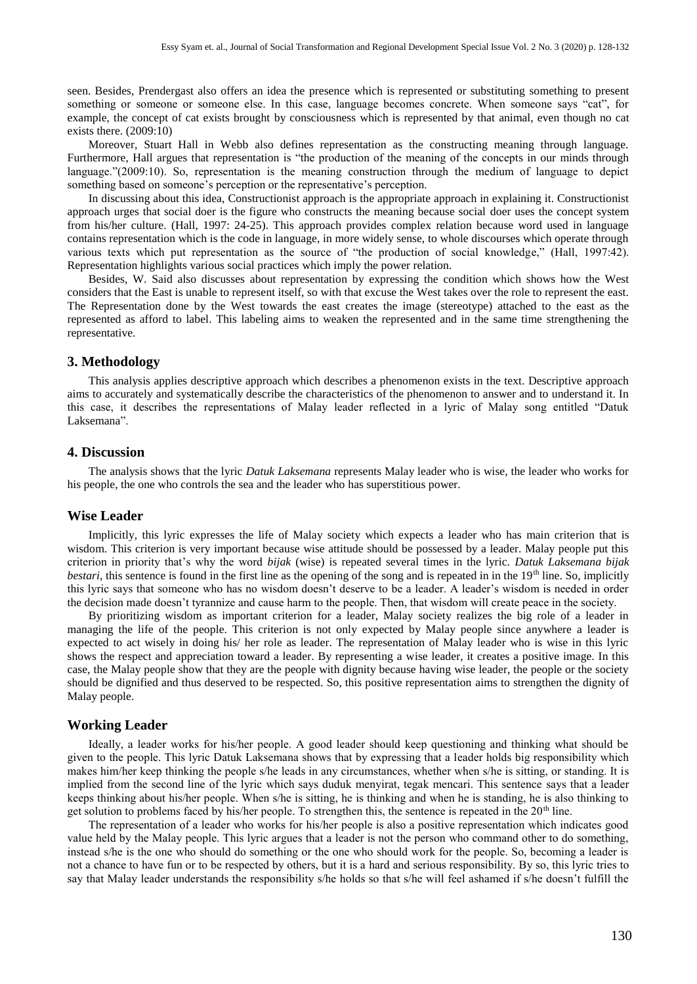seen. Besides, Prendergast also offers an idea the presence which is represented or substituting something to present something or someone or someone else. In this case, language becomes concrete. When someone says "cat", for example, the concept of cat exists brought by consciousness which is represented by that animal, even though no cat exists there. (2009:10)

Moreover, Stuart Hall in Webb also defines representation as the constructing meaning through language. Furthermore, Hall argues that representation is "the production of the meaning of the concepts in our minds through language."(2009:10). So, representation is the meaning construction through the medium of language to depict something based on someone's perception or the representative's perception.

In discussing about this idea, Constructionist approach is the appropriate approach in explaining it. Constructionist approach urges that social doer is the figure who constructs the meaning because social doer uses the concept system from his/her culture. (Hall, 1997: 24-25). This approach provides complex relation because word used in language contains representation which is the code in language, in more widely sense, to whole discourses which operate through various texts which put representation as the source of "the production of social knowledge," (Hall, 1997:42). Representation highlights various social practices which imply the power relation.

Besides, W. Said also discusses about representation by expressing the condition which shows how the West considers that the East is unable to represent itself, so with that excuse the West takes over the role to represent the east. The Representation done by the West towards the east creates the image (stereotype) attached to the east as the represented as afford to label. This labeling aims to weaken the represented and in the same time strengthening the representative.

#### **3. Methodology**

This analysis applies descriptive approach which describes a phenomenon exists in the text. Descriptive approach aims to accurately and systematically describe the characteristics of the phenomenon to answer and to understand it. In this case, it describes the representations of Malay leader reflected in a lyric of Malay song entitled "Datuk Laksemana".

#### **4. Discussion**

The analysis shows that the lyric *Datuk Laksemana* represents Malay leader who is wise, the leader who works for his people, the one who controls the sea and the leader who has superstitious power.

#### **Wise Leader**

Implicitly, this lyric expresses the life of Malay society which expects a leader who has main criterion that is wisdom. This criterion is very important because wise attitude should be possessed by a leader. Malay people put this criterion in priority that's why the word *bijak* (wise) is repeated several times in the lyric. *Datuk Laksemana bijak bestari*, this sentence is found in the first line as the opening of the song and is repeated in in the 19<sup>th</sup> line. So, implicitly this lyric says that someone who has no wisdom doesn't deserve to be a leader. A leader's wisdom is needed in order the decision made doesn't tyrannize and cause harm to the people. Then, that wisdom will create peace in the society.

By prioritizing wisdom as important criterion for a leader, Malay society realizes the big role of a leader in managing the life of the people. This criterion is not only expected by Malay people since anywhere a leader is expected to act wisely in doing his/ her role as leader. The representation of Malay leader who is wise in this lyric shows the respect and appreciation toward a leader. By representing a wise leader, it creates a positive image. In this case, the Malay people show that they are the people with dignity because having wise leader, the people or the society should be dignified and thus deserved to be respected. So, this positive representation aims to strengthen the dignity of Malay people.

#### **Working Leader**

Ideally, a leader works for his/her people. A good leader should keep questioning and thinking what should be given to the people. This lyric Datuk Laksemana shows that by expressing that a leader holds big responsibility which makes him/her keep thinking the people s/he leads in any circumstances, whether when s/he is sitting, or standing. It is implied from the second line of the lyric which says duduk menyirat, tegak mencari. This sentence says that a leader keeps thinking about his/her people. When s/he is sitting, he is thinking and when he is standing, he is also thinking to get solution to problems faced by his/her people. To strengthen this, the sentence is repeated in the 20<sup>th</sup> line.

The representation of a leader who works for his/her people is also a positive representation which indicates good value held by the Malay people. This lyric argues that a leader is not the person who command other to do something, instead s/he is the one who should do something or the one who should work for the people. So, becoming a leader is not a chance to have fun or to be respected by others, but it is a hard and serious responsibility. By so, this lyric tries to say that Malay leader understands the responsibility s/he holds so that s/he will feel ashamed if s/he doesn't fulfill the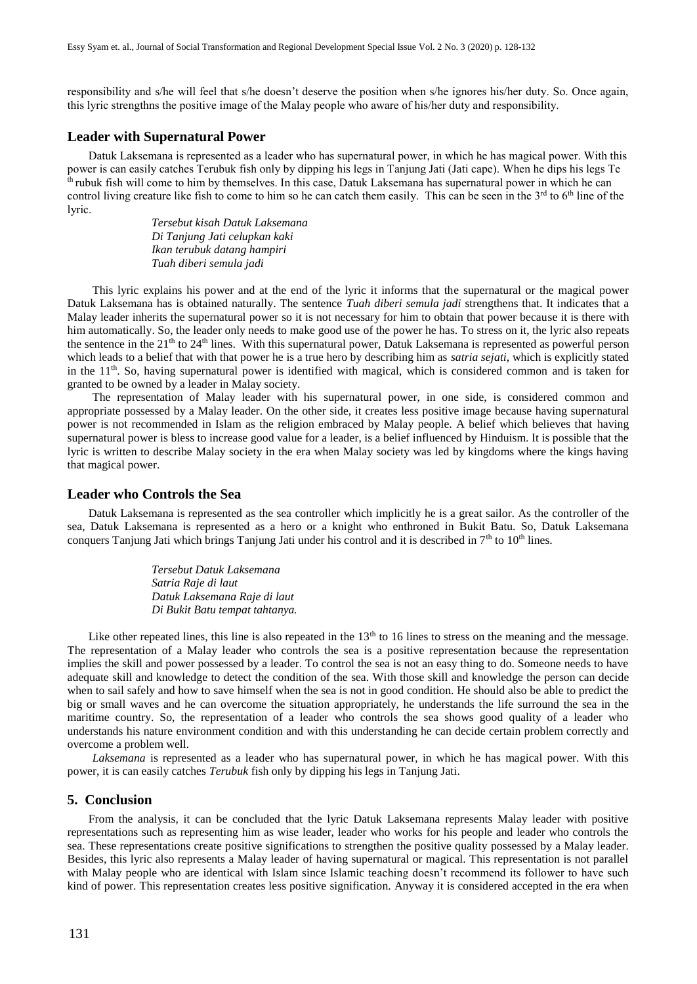responsibility and s/he will feel that s/he doesn't deserve the position when s/he ignores his/her duty. So. Once again, this lyric strengthns the positive image of the Malay people who aware of his/her duty and responsibility.

#### **Leader with Supernatural Power**

Datuk Laksemana is represented as a leader who has supernatural power, in which he has magical power. With this power is can easily catches Terubuk fish only by dipping his legs in Tanjung Jati (Jati cape). When he dips his legs Te  $<sup>th</sup>$  rubuk fish will come to him by themselves. In this case, Datuk Laksemana has supernatural power in which he can</sup> control living creature like fish to come to him so he can catch them easily. This can be seen in the  $3<sup>rd</sup>$  to  $6<sup>th</sup>$  line of the lyric.

> *Tersebut kisah Datuk Laksemana Di Tanjung Jati celupkan kaki Ikan terubuk datang hampiri Tuah diberi semula jadi*

This lyric explains his power and at the end of the lyric it informs that the supernatural or the magical power Datuk Laksemana has is obtained naturally. The sentence *Tuah diberi semula jadi* strengthens that. It indicates that a Malay leader inherits the supernatural power so it is not necessary for him to obtain that power because it is there with him automatically. So, the leader only needs to make good use of the power he has. To stress on it, the lyric also repeats the sentence in the  $21<sup>th</sup>$  to  $24<sup>th</sup>$  lines. With this supernatural power, Datuk Laksemana is represented as powerful person which leads to a belief that with that power he is a true hero by describing him as *satria sejati*, which is explicitly stated in the  $11<sup>th</sup>$ . So, having supernatural power is identified with magical, which is considered common and is taken for granted to be owned by a leader in Malay society.

The representation of Malay leader with his supernatural power, in one side, is considered common and appropriate possessed by a Malay leader. On the other side, it creates less positive image because having supernatural power is not recommended in Islam as the religion embraced by Malay people. A belief which believes that having supernatural power is bless to increase good value for a leader, is a belief influenced by Hinduism. It is possible that the lyric is written to describe Malay society in the era when Malay society was led by kingdoms where the kings having that magical power.

### **Leader who Controls the Sea**

Datuk Laksemana is represented as the sea controller which implicitly he is a great sailor. As the controller of the sea, Datuk Laksemana is represented as a hero or a knight who enthroned in Bukit Batu. So, Datuk Laksemana conquers Tanjung Jati which brings Tanjung Jati under his control and it is described in 7<sup>th</sup> to 10<sup>th</sup> lines.

> *Tersebut Datuk Laksemana Satria Raje di laut Datuk Laksemana Raje di laut Di Bukit Batu tempat tahtanya.*

Like other repeated lines, this line is also repeated in the  $13<sup>th</sup>$  to 16 lines to stress on the meaning and the message. The representation of a Malay leader who controls the sea is a positive representation because the representation implies the skill and power possessed by a leader. To control the sea is not an easy thing to do. Someone needs to have adequate skill and knowledge to detect the condition of the sea. With those skill and knowledge the person can decide when to sail safely and how to save himself when the sea is not in good condition. He should also be able to predict the big or small waves and he can overcome the situation appropriately, he understands the life surround the sea in the maritime country. So, the representation of a leader who controls the sea shows good quality of a leader who understands his nature environment condition and with this understanding he can decide certain problem correctly and overcome a problem well.

*Laksemana* is represented as a leader who has supernatural power, in which he has magical power. With this power, it is can easily catches *Terubuk* fish only by dipping his legs in Tanjung Jati.

#### **5. Conclusion**

From the analysis, it can be concluded that the lyric Datuk Laksemana represents Malay leader with positive representations such as representing him as wise leader, leader who works for his people and leader who controls the sea. These representations create positive significations to strengthen the positive quality possessed by a Malay leader. Besides, this lyric also represents a Malay leader of having supernatural or magical. This representation is not parallel with Malay people who are identical with Islam since Islamic teaching doesn't recommend its follower to have such kind of power. This representation creates less positive signification. Anyway it is considered accepted in the era when